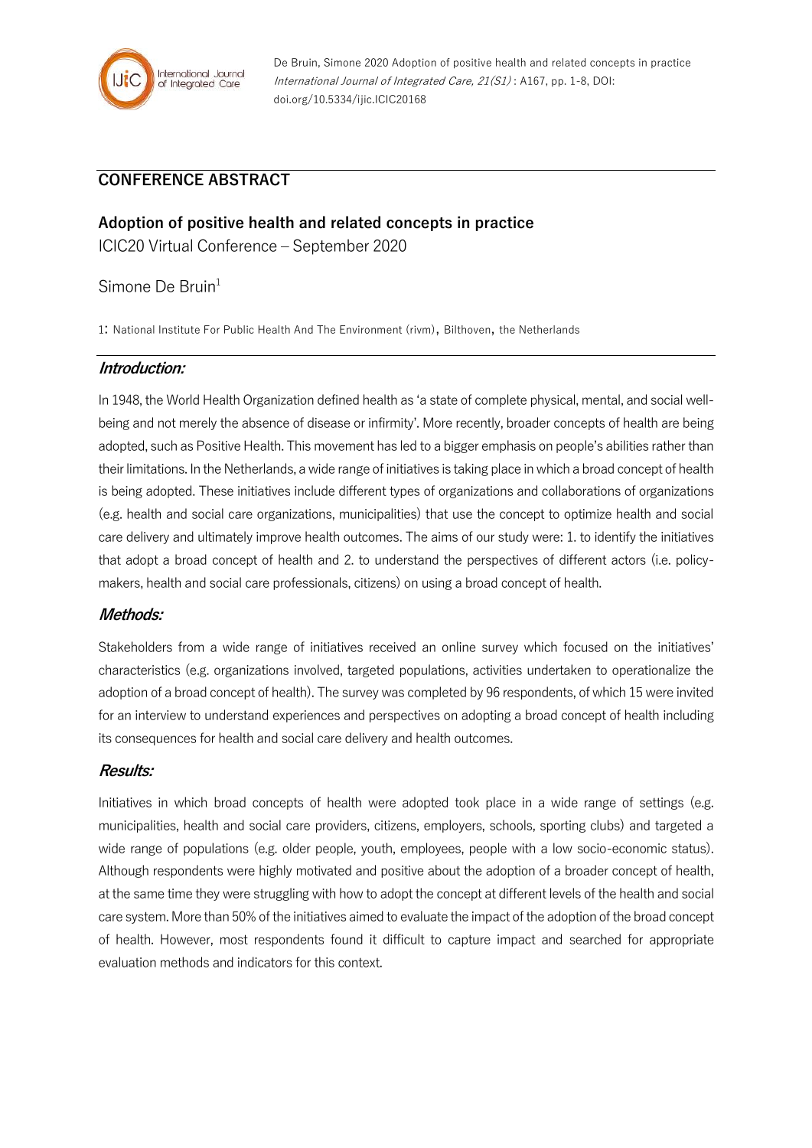

De Bruin, Simone 2020 Adoption of positive health and related concepts in practice International Journal of Integrated Care, 21(S1) : A167, pp. 1-8, DOI: doi.org/10.5334/ijic.ICIC20168

# **CONFERENCE ABSTRACT**

**Adoption of positive health and related concepts in practice** ICIC20 Virtual Conference – September 2020

### Simone De Bruin $1$

1: National Institute For Public Health And The Environment (rivm), Bilthoven, the Netherlands

### **Introduction:**

In 1948, the World Health Organization defined health as 'a state of complete physical, mental, and social wellbeing and not merely the absence of disease or infirmity'. More recently, broader concepts of health are being adopted, such as Positive Health. This movement has led to a bigger emphasis on people's abilities rather than their limitations. In the Netherlands, a wide range of initiatives is taking place in which a broad concept of health is being adopted. These initiatives include different types of organizations and collaborations of organizations (e.g. health and social care organizations, municipalities) that use the concept to optimize health and social care delivery and ultimately improve health outcomes. The aims of our study were: 1. to identify the initiatives that adopt a broad concept of health and 2. to understand the perspectives of different actors (i.e. policymakers, health and social care professionals, citizens) on using a broad concept of health.

#### **Methods:**

Stakeholders from a wide range of initiatives received an online survey which focused on the initiatives' characteristics (e.g. organizations involved, targeted populations, activities undertaken to operationalize the adoption of a broad concept of health). The survey was completed by 96 respondents, of which 15 were invited for an interview to understand experiences and perspectives on adopting a broad concept of health including its consequences for health and social care delivery and health outcomes.

#### **Results:**

Initiatives in which broad concepts of health were adopted took place in a wide range of settings (e.g. municipalities, health and social care providers, citizens, employers, schools, sporting clubs) and targeted a wide range of populations (e.g. older people, youth, employees, people with a low socio-economic status). Although respondents were highly motivated and positive about the adoption of a broader concept of health, at the same time they were struggling with how to adopt the concept at different levels of the health and social care system. More than 50% of the initiatives aimed to evaluate the impact of the adoption of the broad concept of health. However, most respondents found it difficult to capture impact and searched for appropriate evaluation methods and indicators for this context.